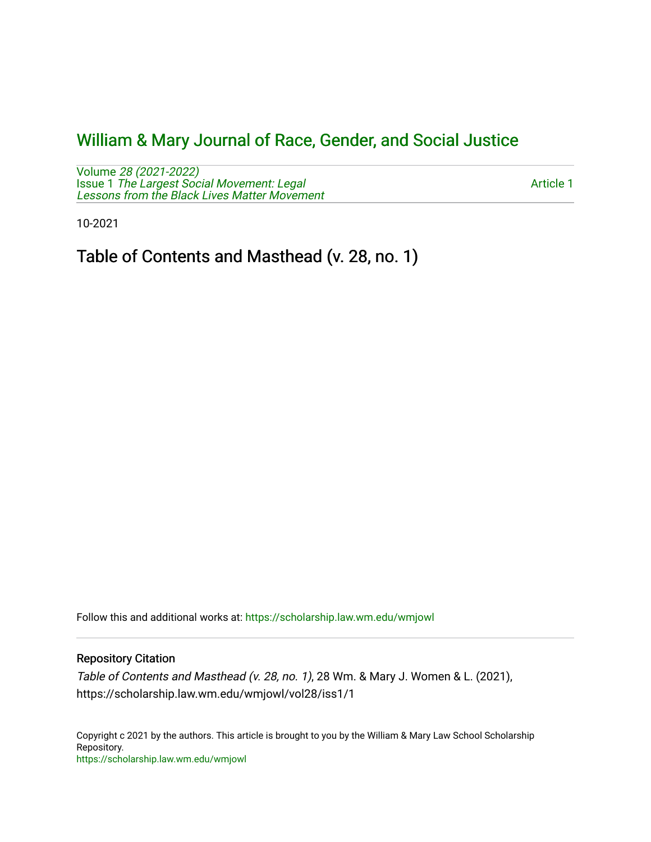## [William & Mary Journal of Race, Gender, and Social Justice](https://scholarship.law.wm.edu/wmjowl)

Volume [28 \(2021-2022\)](https://scholarship.law.wm.edu/wmjowl/vol28)  Issue 1 [The Largest Social Movement: Legal](https://scholarship.law.wm.edu/wmjowl/vol28/iss1) [Lessons from the Black Lives Matter Movement](https://scholarship.law.wm.edu/wmjowl/vol28/iss1) 

[Article 1](https://scholarship.law.wm.edu/wmjowl/vol28/iss1/1) 

10-2021

Table of Contents and Masthead (v. 28, no. 1)

Follow this and additional works at: [https://scholarship.law.wm.edu/wmjowl](https://scholarship.law.wm.edu/wmjowl?utm_source=scholarship.law.wm.edu%2Fwmjowl%2Fvol28%2Fiss1%2F1&utm_medium=PDF&utm_campaign=PDFCoverPages) 

## Repository Citation

Table of Contents and Masthead (v. 28, no. 1), 28 Wm. & Mary J. Women & L. (2021), https://scholarship.law.wm.edu/wmjowl/vol28/iss1/1

Copyright c 2021 by the authors. This article is brought to you by the William & Mary Law School Scholarship Repository. <https://scholarship.law.wm.edu/wmjowl>